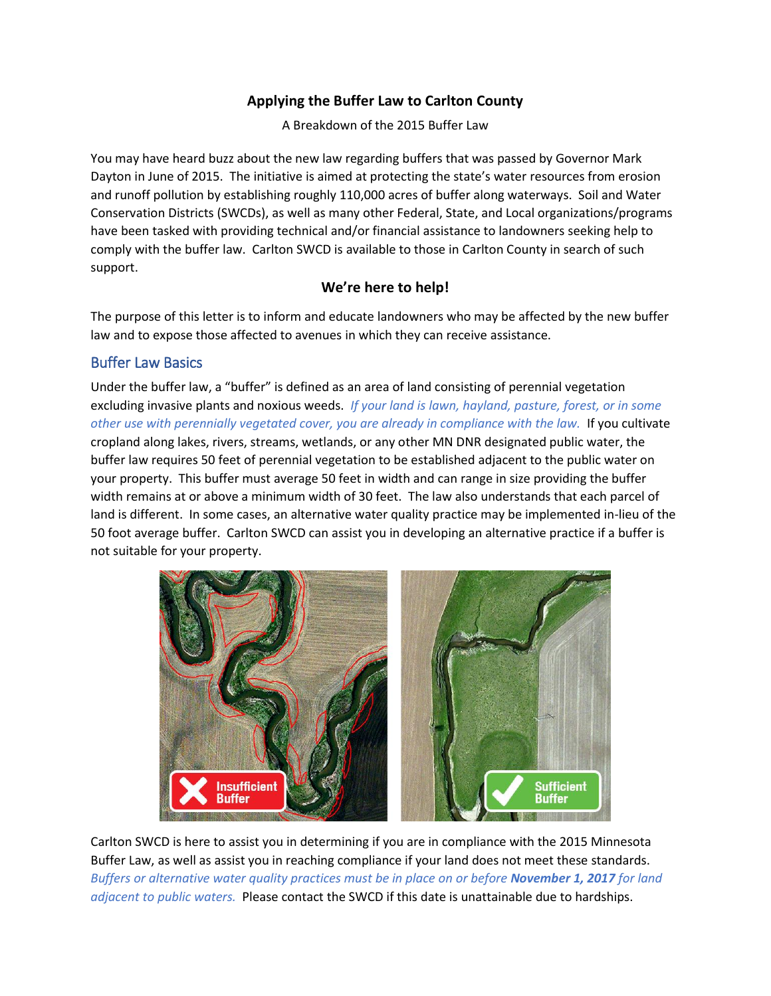# **Applying the Buffer Law to Carlton County**

A Breakdown of the 2015 Buffer Law

You may have heard buzz about the new law regarding buffers that was passed by Governor Mark Dayton in June of 2015. The initiative is aimed at protecting the state's water resources from erosion and runoff pollution by establishing roughly 110,000 acres of buffer along waterways. Soil and Water Conservation Districts (SWCDs), as well as many other Federal, State, and Local organizations/programs have been tasked with providing technical and/or financial assistance to landowners seeking help to comply with the buffer law. Carlton SWCD is available to those in Carlton County in search of such support.

## **We're here to help!**

The purpose of this letter is to inform and educate landowners who may be affected by the new buffer law and to expose those affected to avenues in which they can receive assistance.

## Buffer Law Basics

Under the buffer law, a "buffer" is defined as an area of land consisting of perennial vegetation excluding invasive plants and noxious weeds. *If your land is lawn, hayland, pasture, forest, or in some other use with perennially vegetated cover, you are already in compliance with the law.* If you cultivate cropland along lakes, rivers, streams, wetlands, or any other MN DNR designated public water, the buffer law requires 50 feet of perennial vegetation to be established adjacent to the public water on your property. This buffer must average 50 feet in width and can range in size providing the buffer width remains at or above a minimum width of 30 feet. The law also understands that each parcel of land is different. In some cases, an alternative water quality practice may be implemented in-lieu of the 50 foot average buffer. Carlton SWCD can assist you in developing an alternative practice if a buffer is not suitable for your property.



Carlton SWCD is here to assist you in determining if you are in compliance with the 2015 Minnesota Buffer Law, as well as assist you in reaching compliance if your land does not meet these standards. *Buffers or alternative water quality practices must be in place on or before November 1, 2017 for land adjacent to public waters.* Please contact the SWCD if this date is unattainable due to hardships.